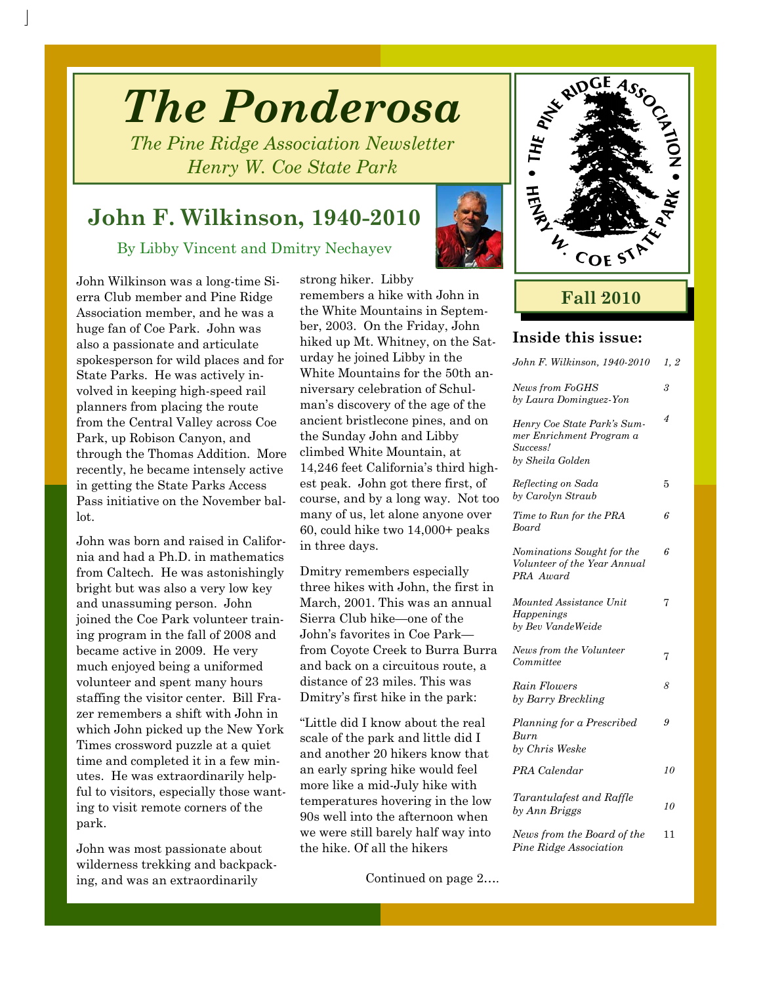# *The Ponderosa*

*The Pine Ridge Association Newsletter Henry W. Coe State Park* 

## **John F. Wilkinson, 1940-2010**

By Libby Vincent and Dmitry Nechayev

John Wilkinson was a long-time Sierra Club member and Pine Ridge Association member, and he was a huge fan of Coe Park. John was also a passionate and articulate spokesperson for wild places and for State Parks. He was actively involved in keeping high-speed rail planners from placing the route from the Central Valley across Coe Park, up Robison Canyon, and through the Thomas Addition. More recently, he became intensely active in getting the State Parks Access Pass initiative on the November ballot.

John was born and raised in California and had a Ph.D. in mathematics from Caltech. He was astonishingly bright but was also a very low key and unassuming person. John joined the Coe Park volunteer training program in the fall of 2008 and became active in 2009. He very much enjoyed being a uniformed volunteer and spent many hours staffing the visitor center. Bill Frazer remembers a shift with John in which John picked up the New York Times crossword puzzle at a quiet time and completed it in a few minutes. He was extraordinarily helpful to visitors, especially those wanting to visit remote corners of the park.

John was most passionate about wilderness trekking and backpacking, and was an extraordinarily

strong hiker. Libby remembers a hike with John in the White Mountains in September, 2003. On the Friday, John hiked up Mt. Whitney, on the Saturday he joined Libby in the White Mountains for the 50th anniversary celebration of Schulman's discovery of the age of the ancient bristlecone pines, and on the Sunday John and Libby climbed White Mountain, at 14,246 feet California's third highest peak. John got there first, of course, and by a long way. Not too many of us, let alone anyone over 60, could hike two 14,000+ peaks in three days.

Dmitry remembers especially three hikes with John, the first in March, 2001. This was an annual Sierra Club hike—one of the John's favorites in Coe Park from Coyote Creek to Burra Burra and back on a circuitous route, a distance of 23 miles. This was Dmitry's first hike in the park:

"Little did I know about the real scale of the park and little did I and another 20 hikers know that an early spring hike would feel more like a mid-July hike with temperatures hovering in the low 90s well into the afternoon when we were still barely half way into the hike. Of all the hikers

Continued on page 2….



### **Fall 2010**

#### **Inside this issue:**

| John F. Wilkinson, 1940-2010                                                            | 1, 2 |
|-----------------------------------------------------------------------------------------|------|
| <b>News from FoGHS</b><br>by Laura Dominguez-Yon                                        | 3    |
| Henry Coe State Park's Sum-<br>mer Enrichment Program a<br>Success!<br>by Sheila Golden | 4    |
| Reflecting on Sada<br>by Carolyn Straub                                                 | 5    |
| Time to Run for the PRA<br>Board                                                        | 6    |
| Nominations Sought for the<br>Volunteer of the Year Annual<br>PRA Award                 | 6    |
| Mounted Assistance Unit<br>Happenings<br>by Bev VandeWeide                              | 7    |
| News from the Volunteer<br>Committee                                                    | 7    |
| Rain Flowers<br>by Barry Breckling                                                      | 8    |
| Planning for a Prescribed<br>Burn<br>by Chris Weske                                     | 9    |
| PRA Calendar                                                                            | 10   |
| Tarantulafest and Raffle<br>by Ann Briggs                                               | 10   |
| News from the Board of the<br>Pine Ridge Association                                    | 11   |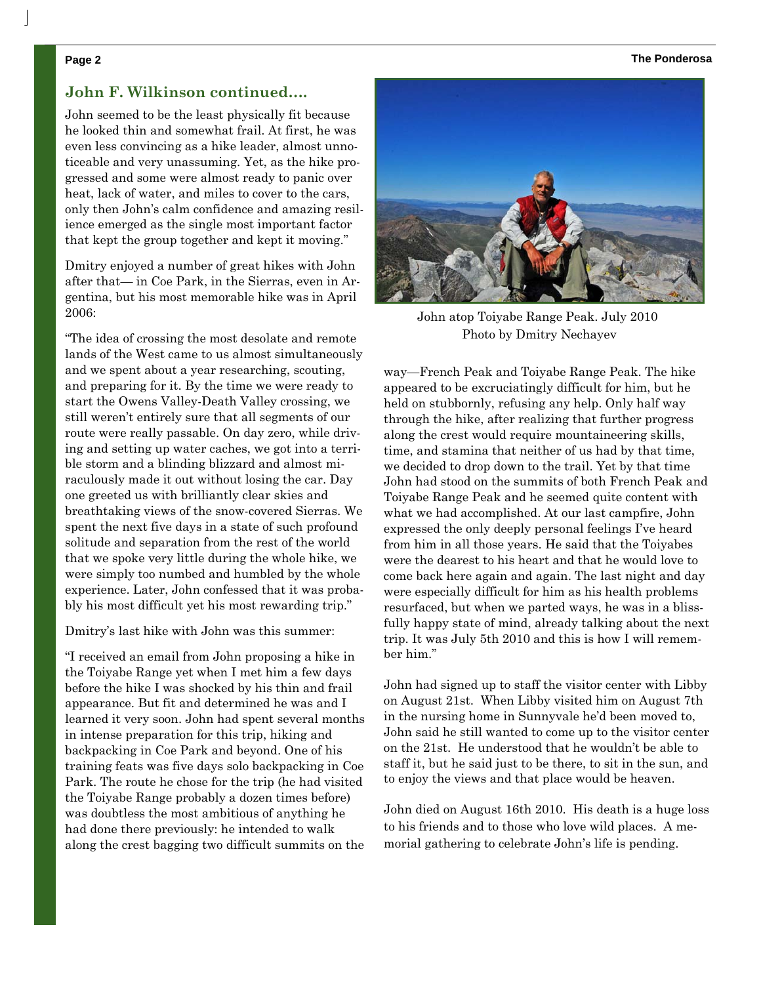#### **Page 2 The Ponderosa**

#### **John F. Wilkinson continued….**

John seemed to be the least physically fit because he looked thin and somewhat frail. At first, he was even less convincing as a hike leader, almost unnoticeable and very unassuming. Yet, as the hike progressed and some were almost ready to panic over heat, lack of water, and miles to cover to the cars. only then John's calm confidence and amazing resilience emerged as the single most important factor that kept the group together and kept it moving."

Dmitry enjoyed a number of great hikes with John after that— in Coe Park, in the Sierras, even in Argentina, but his most memorable hike was in April 2006:

"The idea of crossing the most desolate and remote lands of the West came to us almost simultaneously and we spent about a year researching, scouting, and preparing for it. By the time we were ready to start the Owens Valley-Death Valley crossing, we still weren't entirely sure that all segments of our route were really passable. On day zero, while driving and setting up water caches, we got into a terrible storm and a blinding blizzard and almost miraculously made it out without losing the car. Day one greeted us with brilliantly clear skies and breathtaking views of the snow-covered Sierras. We spent the next five days in a state of such profound solitude and separation from the rest of the world that we spoke very little during the whole hike, we were simply too numbed and humbled by the whole experience. Later, John confessed that it was probably his most difficult yet his most rewarding trip."

Dmitry's last hike with John was this summer:

"I received an email from John proposing a hike in the Toiyabe Range yet when I met him a few days before the hike I was shocked by his thin and frail appearance. But fit and determined he was and I learned it very soon. John had spent several months in intense preparation for this trip, hiking and backpacking in Coe Park and beyond. One of his training feats was five days solo backpacking in Coe Park. The route he chose for the trip (he had visited the Toiyabe Range probably a dozen times before) was doubtless the most ambitious of anything he had done there previously: he intended to walk along the crest bagging two difficult summits on the



John atop Toiyabe Range Peak. July 2010 Photo by Dmitry Nechayev

way—French Peak and Toiyabe Range Peak. The hike appeared to be excruciatingly difficult for him, but he held on stubbornly, refusing any help. Only half way through the hike, after realizing that further progress along the crest would require mountaineering skills, time, and stamina that neither of us had by that time, we decided to drop down to the trail. Yet by that time John had stood on the summits of both French Peak and Toiyabe Range Peak and he seemed quite content with what we had accomplished. At our last campfire, John expressed the only deeply personal feelings I've heard from him in all those years. He said that the Toiyabes were the dearest to his heart and that he would love to come back here again and again. The last night and day were especially difficult for him as his health problems resurfaced, but when we parted ways, he was in a blissfully happy state of mind, already talking about the next trip. It was July 5th 2010 and this is how I will remember him."

John had signed up to staff the visitor center with Libby on August 21st. When Libby visited him on August 7th in the nursing home in Sunnyvale he'd been moved to, John said he still wanted to come up to the visitor center on the 21st. He understood that he wouldn't be able to staff it, but he said just to be there, to sit in the sun, and to enjoy the views and that place would be heaven.

John died on August 16th 2010. His death is a huge loss to his friends and to those who love wild places. A memorial gathering to celebrate John's life is pending.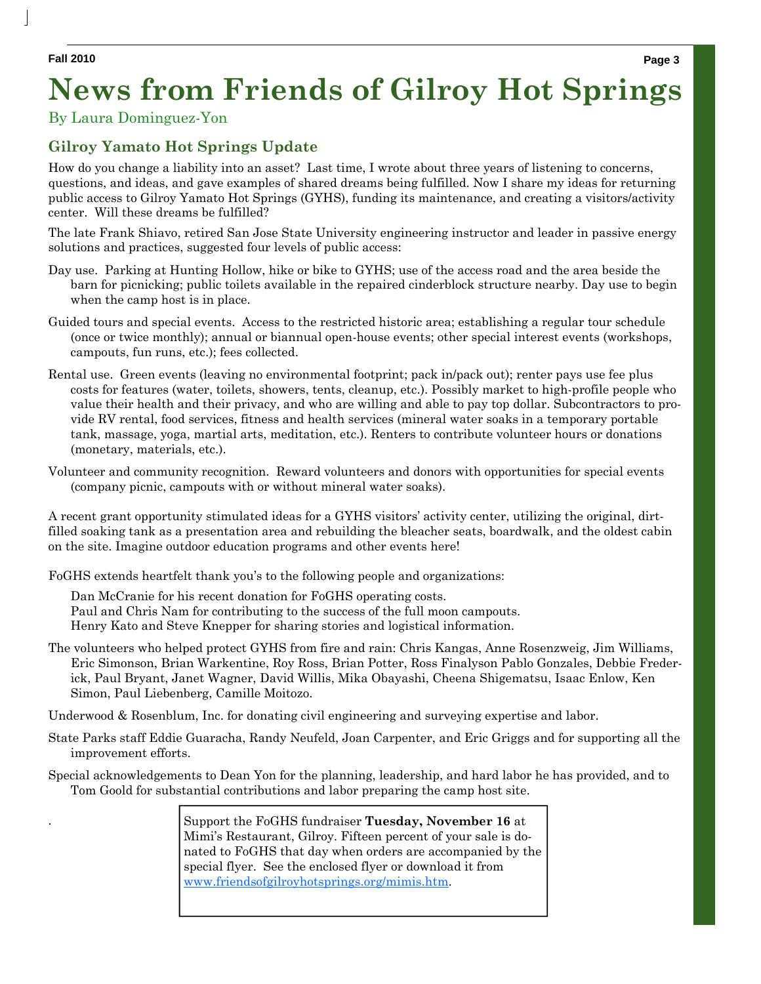### By Laura Dominguez-Yon

### **Gilroy Yamato Hot Springs Update**

How do you change a liability into an asset? Last time, I wrote about three years of listening to concerns, questions, and ideas, and gave examples of shared dreams being fulfilled. Now I share my ideas for returning public access to Gilroy Yamato Hot Springs (GYHS), funding its maintenance, and creating a visitors/activity center. Will these dreams be fulfilled?

The late Frank Shiavo, retired San Jose State University engineering instructor and leader in passive energy solutions and practices, suggested four levels of public access:

- Day use. Parking at Hunting Hollow, hike or bike to GYHS; use of the access road and the area beside the barn for picnicking; public toilets available in the repaired cinderblock structure nearby. Day use to begin when the camp host is in place.
- Guided tours and special events. Access to the restricted historic area; establishing a regular tour schedule (once or twice monthly); annual or biannual open-house events; other special interest events (workshops, campouts, fun runs, etc.); fees collected.
- Rental use. Green events (leaving no environmental footprint; pack in/pack out); renter pays use fee plus costs for features (water, toilets, showers, tents, cleanup, etc.). Possibly market to high-profile people who value their health and their privacy, and who are willing and able to pay top dollar. Subcontractors to provide RV rental, food services, fitness and health services (mineral water soaks in a temporary portable tank, massage, yoga, martial arts, meditation, etc.). Renters to contribute volunteer hours or donations (monetary, materials, etc.).
- Volunteer and community recognition. Reward volunteers and donors with opportunities for special events (company picnic, campouts with or without mineral water soaks).

A recent grant opportunity stimulated ideas for a GYHS visitors' activity center, utilizing the original, dirtfilled soaking tank as a presentation area and rebuilding the bleacher seats, boardwalk, and the oldest cabin on the site. Imagine outdoor education programs and other events here!

FoGHS extends heartfelt thank you's to the following people and organizations:

Dan McCranie for his recent donation for FoGHS operating costs.

Paul and Chris Nam for contributing to the success of the full moon campouts.

Henry Kato and Steve Knepper for sharing stories and logistical information.

- The volunteers who helped protect GYHS from fire and rain: Chris Kangas, Anne Rosenzweig, Jim Williams, Eric Simonson, Brian Warkentine, Roy Ross, Brian Potter, Ross Finalyson Pablo Gonzales, Debbie Frederick, Paul Bryant, Janet Wagner, David Willis, Mika Obayashi, Cheena Shigematsu, Isaac Enlow, Ken Simon, Paul Liebenberg, Camille Moitozo.
- Underwood & Rosenblum, Inc. for donating civil engineering and surveying expertise and labor.
- State Parks staff Eddie Guaracha, Randy Neufeld, Joan Carpenter, and Eric Griggs and for supporting all the improvement efforts.
- Special acknowledgements to Dean Yon for the planning, leadership, and hard labor he has provided, and to Tom Goold for substantial contributions and labor preparing the camp host site.

. Support the FoGHS fundraiser **Tuesday, November 16** at Mimi's Restaurant, Gilroy. Fifteen percent of your sale is donated to FoGHS that day when orders are accompanied by the special flyer. See the enclosed flyer or download it from www.friendsofgilroyhotsprings.org/mimis.htm.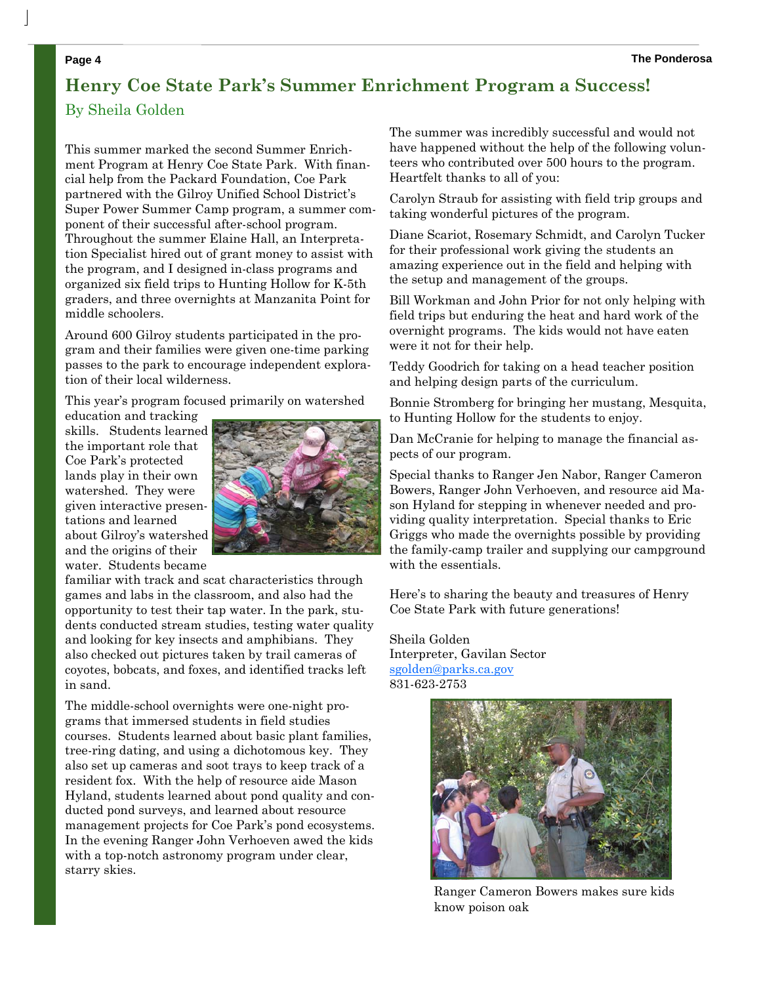### **Henry Coe State Park's Summer Enrichment Program a Success!**  By Sheila Golden

This summer marked the second Summer Enrichment Program at Henry Coe State Park. With financial help from the Packard Foundation, Coe Park partnered with the Gilroy Unified School District's Super Power Summer Camp program, a summer component of their successful after-school program. Throughout the summer Elaine Hall, an Interpretation Specialist hired out of grant money to assist with the program, and I designed in-class programs and organized six field trips to Hunting Hollow for K-5th graders, and three overnights at Manzanita Point for middle schoolers.

Around 600 Gilroy students participated in the program and their families were given one-time parking passes to the park to encourage independent exploration of their local wilderness.

This year's program focused primarily on watershed

education and tracking skills. Students learned the important role that Coe Park's protected lands play in their own watershed. They were given interactive presentations and learned about Gilroy's watershed and the origins of their water. Students became



familiar with track and scat characteristics through games and labs in the classroom, and also had the opportunity to test their tap water. In the park, students conducted stream studies, testing water quality and looking for key insects and amphibians. They also checked out pictures taken by trail cameras of coyotes, bobcats, and foxes, and identified tracks left in sand.

The middle-school overnights were one-night programs that immersed students in field studies courses. Students learned about basic plant families, tree-ring dating, and using a dichotomous key. They also set up cameras and soot trays to keep track of a resident fox. With the help of resource aide Mason Hyland, students learned about pond quality and conducted pond surveys, and learned about resource management projects for Coe Park's pond ecosystems. In the evening Ranger John Verhoeven awed the kids with a top-notch astronomy program under clear, starry skies.

The summer was incredibly successful and would not have happened without the help of the following volunteers who contributed over 500 hours to the program. Heartfelt thanks to all of you:

Carolyn Straub for assisting with field trip groups and taking wonderful pictures of the program.

Diane Scariot, Rosemary Schmidt, and Carolyn Tucker for their professional work giving the students an amazing experience out in the field and helping with the setup and management of the groups.

Bill Workman and John Prior for not only helping with field trips but enduring the heat and hard work of the overnight programs. The kids would not have eaten were it not for their help.

Teddy Goodrich for taking on a head teacher position and helping design parts of the curriculum.

Bonnie Stromberg for bringing her mustang, Mesquita, to Hunting Hollow for the students to enjoy.

Dan McCranie for helping to manage the financial aspects of our program.

Special thanks to Ranger Jen Nabor, Ranger Cameron Bowers, Ranger John Verhoeven, and resource aid Mason Hyland for stepping in whenever needed and providing quality interpretation. Special thanks to Eric Griggs who made the overnights possible by providing the family-camp trailer and supplying our campground with the essentials.

Here's to sharing the beauty and treasures of Henry Coe State Park with future generations!

Sheila Golden Interpreter, Gavilan Sector sgolden@parks.ca.gov 831-623-2753



Ranger Cameron Bowers makes sure kids know poison oak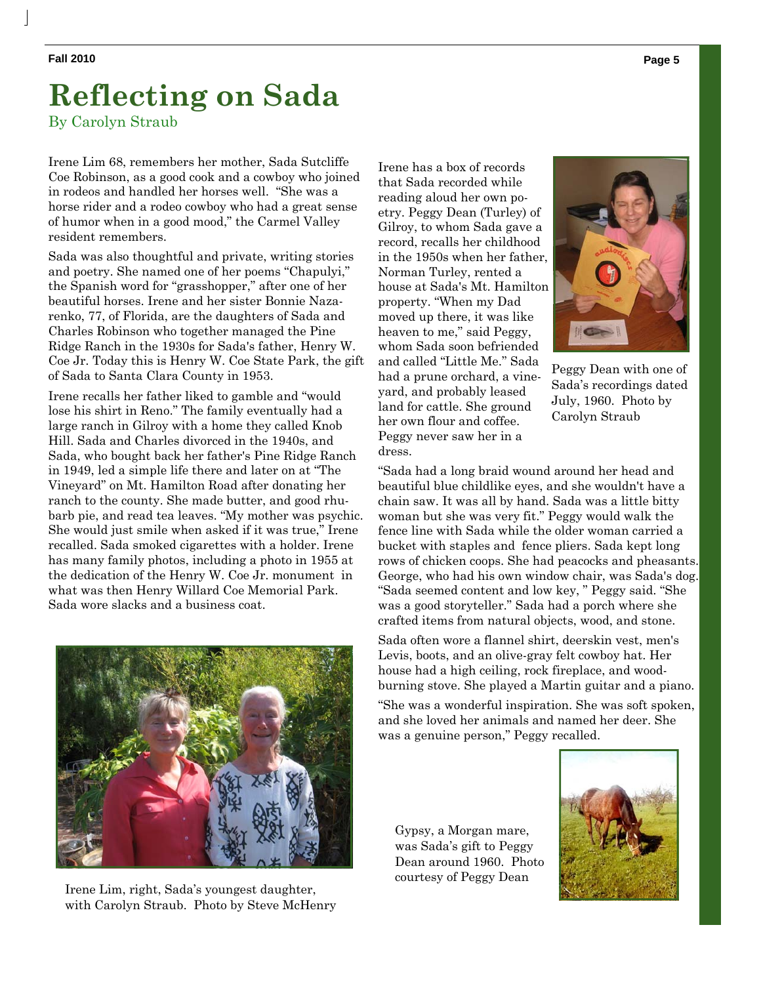# **Reflecting on Sada**

By Carolyn Straub

Irene Lim 68, remembers her mother, Sada Sutcliffe Coe Robinson, as a good cook and a cowboy who joined in rodeos and handled her horses well. "She was a horse rider and a rodeo cowboy who had a great sense of humor when in a good mood," the Carmel Valley resident remembers.

Sada was also thoughtful and private, writing stories and poetry. She named one of her poems "Chapulyi," the Spanish word for "grasshopper," after one of her beautiful horses. Irene and her sister Bonnie Nazarenko, 77, of Florida, are the daughters of Sada and Charles Robinson who together managed the Pine Ridge Ranch in the 1930s for Sada's father, Henry W. Coe Jr. Today this is Henry W. Coe State Park, the gift of Sada to Santa Clara County in 1953.

Irene recalls her father liked to gamble and "would lose his shirt in Reno." The family eventually had a large ranch in Gilroy with a home they called Knob Hill. Sada and Charles divorced in the 1940s, and Sada, who bought back her father's Pine Ridge Ranch in 1949, led a simple life there and later on at "The Vineyard" on Mt. Hamilton Road after donating her ranch to the county. She made butter, and good rhubarb pie, and read tea leaves. "My mother was psychic. She would just smile when asked if it was true," Irene recalled. Sada smoked cigarettes with a holder. Irene has many family photos, including a photo in 1955 at the dedication of the Henry W. Coe Jr. monument in what was then Henry Willard Coe Memorial Park. Sada wore slacks and a business coat.



Irene Lim, right, Sada's youngest daughter, with Carolyn Straub. Photo by Steve McHenry

Irene has a box of records that Sada recorded while reading aloud her own poetry. Peggy Dean (Turley) of Gilroy, to whom Sada gave a record, recalls her childhood in the 1950s when her father, Norman Turley, rented a house at Sada's Mt. Hamilton property. "When my Dad moved up there, it was like heaven to me," said Peggy, whom Sada soon befriended and called "Little Me." Sada had a prune orchard, a vineyard, and probably leased land for cattle. She ground her own flour and coffee. Peggy never saw her in a dress.



Peggy Dean with one of Sada's recordings dated July, 1960. Photo by Carolyn Straub

"Sada had a long braid wound around her head and beautiful blue childlike eyes, and she wouldn't have a chain saw. It was all by hand. Sada was a little bitty woman but she was very fit." Peggy would walk the fence line with Sada while the older woman carried a bucket with staples and fence pliers. Sada kept long rows of chicken coops. She had peacocks and pheasants. George, who had his own window chair, was Sada's dog. "Sada seemed content and low key, " Peggy said. "She was a good storyteller." Sada had a porch where she crafted items from natural objects, wood, and stone.

Sada often wore a flannel shirt, deerskin vest, men's Levis, boots, and an olive-gray felt cowboy hat. Her house had a high ceiling, rock fireplace, and woodburning stove. She played a Martin guitar and a piano.

"She was a wonderful inspiration. She was soft spoken, and she loved her animals and named her deer. She was a genuine person," Peggy recalled.

Gypsy, a Morgan mare, was Sada's gift to Peggy Dean around 1960. Photo courtesy of Peggy Dean

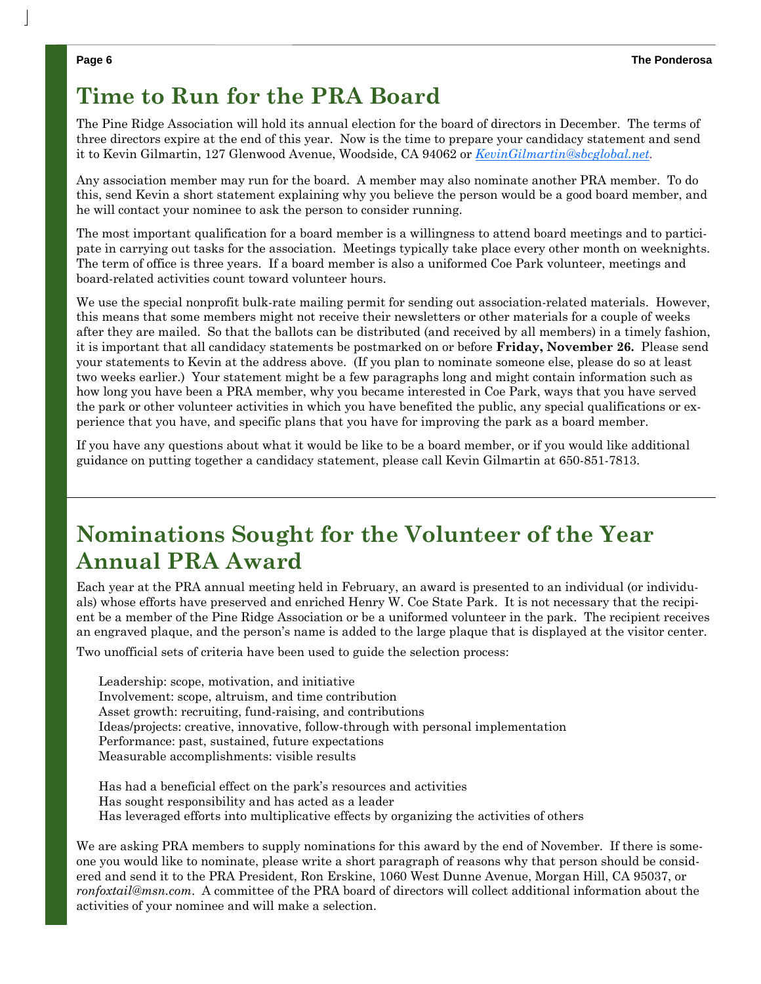## **Time to Run for the PRA Board**

The Pine Ridge Association will hold its annual election for the board of directors in December. The terms of three directors expire at the end of this year. Now is the time to prepare your candidacy statement and send it to Kevin Gilmartin, 127 Glenwood Avenue, Woodside, CA 94062 or *KevinGilmartin@sbcglobal.net.* 

Any association member may run for the board. A member may also nominate another PRA member. To do this, send Kevin a short statement explaining why you believe the person would be a good board member, and he will contact your nominee to ask the person to consider running.

The most important qualification for a board member is a willingness to attend board meetings and to participate in carrying out tasks for the association. Meetings typically take place every other month on weeknights. The term of office is three years. If a board member is also a uniformed Coe Park volunteer, meetings and board-related activities count toward volunteer hours.

We use the special nonprofit bulk-rate mailing permit for sending out association-related materials. However, this means that some members might not receive their newsletters or other materials for a couple of weeks after they are mailed. So that the ballots can be distributed (and received by all members) in a timely fashion, it is important that all candidacy statements be postmarked on or before **Friday, November 26.** Please send your statements to Kevin at the address above. (If you plan to nominate someone else, please do so at least two weeks earlier.) Your statement might be a few paragraphs long and might contain information such as how long you have been a PRA member, why you became interested in Coe Park, ways that you have served the park or other volunteer activities in which you have benefited the public, any special qualifications or experience that you have, and specific plans that you have for improving the park as a board member.

If you have any questions about what it would be like to be a board member, or if you would like additional guidance on putting together a candidacy statement, please call Kevin Gilmartin at 650-851-7813.

# **Nominations Sought for the Volunteer of the Year Annual PRA Award**

Each year at the PRA annual meeting held in February, an award is presented to an individual (or individuals) whose efforts have preserved and enriched Henry W. Coe State Park. It is not necessary that the recipient be a member of the Pine Ridge Association or be a uniformed volunteer in the park. The recipient receives an engraved plaque, and the person's name is added to the large plaque that is displayed at the visitor center.

Two unofficial sets of criteria have been used to guide the selection process:

Leadership: scope, motivation, and initiative Involvement: scope, altruism, and time contribution Asset growth: recruiting, fund-raising, and contributions Ideas/projects: creative, innovative, follow-through with personal implementation Performance: past, sustained, future expectations Measurable accomplishments: visible results

Has had a beneficial effect on the park's resources and activities Has sought responsibility and has acted as a leader Has leveraged efforts into multiplicative effects by organizing the activities of others

We are asking PRA members to supply nominations for this award by the end of November. If there is someone you would like to nominate, please write a short paragraph of reasons why that person should be considered and send it to the PRA President, Ron Erskine, 1060 West Dunne Avenue, Morgan Hill, CA 95037, or *ronfoxtail@msn.com*. A committee of the PRA board of directors will collect additional information about the activities of your nominee and will make a selection.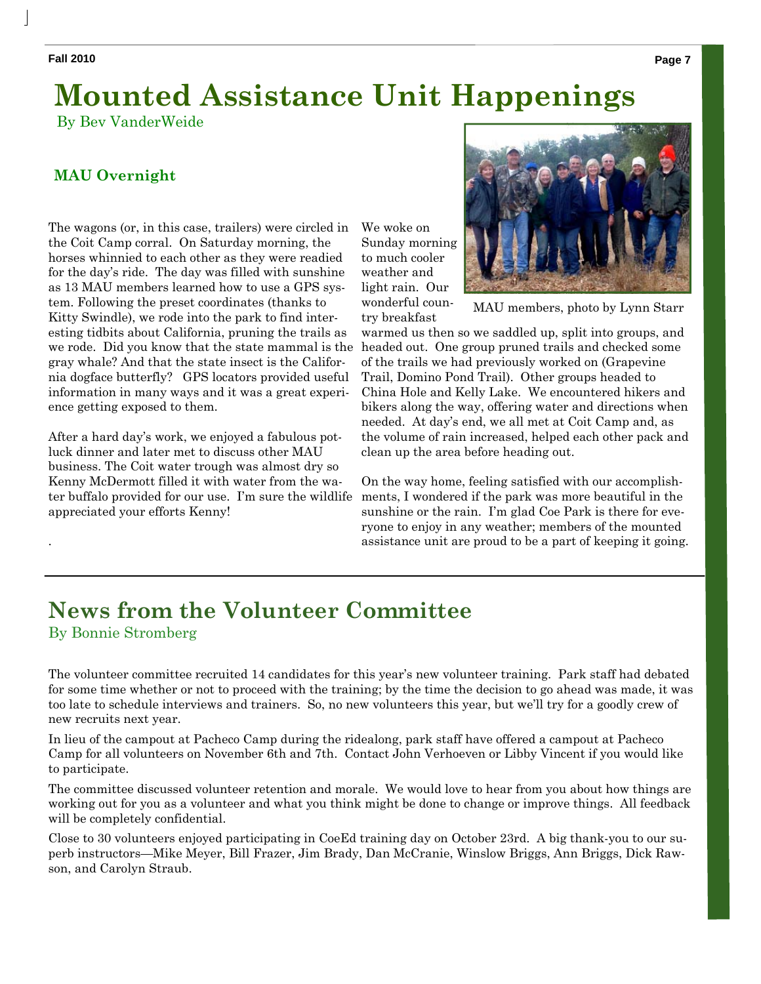.

# **Mounted Assistance Unit Happenings**

By Bev VanderWeide

### **MAU Overnight**

The wagons (or, in this case, trailers) were circled in the Coit Camp corral. On Saturday morning, the horses whinnied to each other as they were readied for the day's ride. The day was filled with sunshine as 13 MAU members learned how to use a GPS system. Following the preset coordinates (thanks to Kitty Swindle), we rode into the park to find interesting tidbits about California, pruning the trails as we rode. Did you know that the state mammal is the gray whale? And that the state insect is the California dogface butterfly? GPS locators provided useful information in many ways and it was a great experience getting exposed to them.

After a hard day's work, we enjoyed a fabulous potluck dinner and later met to discuss other MAU business. The Coit water trough was almost dry so Kenny McDermott filled it with water from the water buffalo provided for our use. I'm sure the wildlife appreciated your efforts Kenny!

We woke on Sunday morning to much cooler weather and light rain. Our wonderful country breakfast



MAU members, photo by Lynn Starr

warmed us then so we saddled up, split into groups, and headed out. One group pruned trails and checked some of the trails we had previously worked on (Grapevine Trail, Domino Pond Trail). Other groups headed to China Hole and Kelly Lake. We encountered hikers and bikers along the way, offering water and directions when needed. At day's end, we all met at Coit Camp and, as the volume of rain increased, helped each other pack and clean up the area before heading out.

On the way home, feeling satisfied with our accomplishments, I wondered if the park was more beautiful in the sunshine or the rain. I'm glad Coe Park is there for everyone to enjoy in any weather; members of the mounted assistance unit are proud to be a part of keeping it going.

### **News from the Volunteer Committee**  By Bonnie Stromberg

The volunteer committee recruited 14 candidates for this year's new volunteer training. Park staff had debated for some time whether or not to proceed with the training; by the time the decision to go ahead was made, it was too late to schedule interviews and trainers. So, no new volunteers this year, but we'll try for a goodly crew of new recruits next year.

In lieu of the campout at Pacheco Camp during the ridealong, park staff have offered a campout at Pacheco Camp for all volunteers on November 6th and 7th. Contact John Verhoeven or Libby Vincent if you would like to participate.

The committee discussed volunteer retention and morale. We would love to hear from you about how things are working out for you as a volunteer and what you think might be done to change or improve things. All feedback will be completely confidential.

Close to 30 volunteers enjoyed participating in CoeEd training day on October 23rd. A big thank-you to our superb instructors—Mike Meyer, Bill Frazer, Jim Brady, Dan McCranie, Winslow Briggs, Ann Briggs, Dick Rawson, and Carolyn Straub.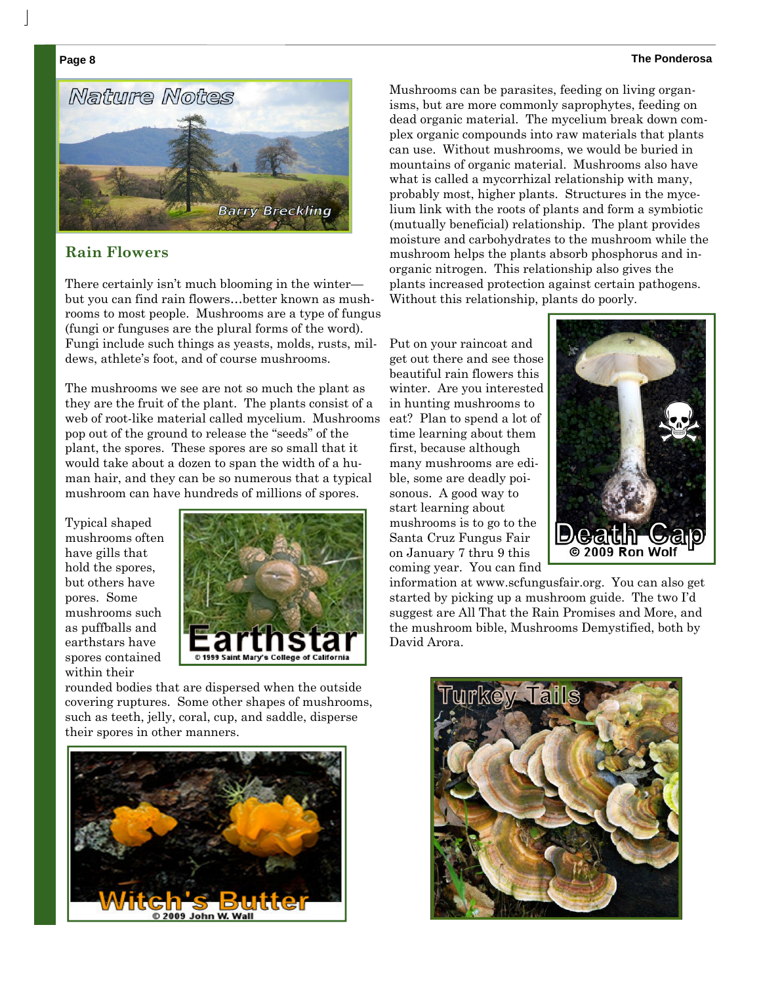#### **Page 8 The Ponderosa**



#### **Rain Flowers**

There certainly isn't much blooming in the winter but you can find rain flowers…better known as mushrooms to most people. Mushrooms are a type of fungus (fungi or funguses are the plural forms of the word). Fungi include such things as yeasts, molds, rusts, mildews, athlete's foot, and of course mushrooms.

The mushrooms we see are not so much the plant as they are the fruit of the plant. The plants consist of a web of root-like material called mycelium. Mushrooms pop out of the ground to release the "seeds" of the plant, the spores. These spores are so small that it would take about a dozen to span the width of a human hair, and they can be so numerous that a typical mushroom can have hundreds of millions of spores.

Typical shaped mushrooms often have gills that hold the spores, but others have pores. Some mushrooms such as puffballs and earthstars have spores contained within their



rounded bodies that are dispersed when the outside covering ruptures. Some other shapes of mushrooms, such as teeth, jelly, coral, cup, and saddle, disperse their spores in other manners.



Mushrooms can be parasites, feeding on living organisms, but are more commonly saprophytes, feeding on dead organic material. The mycelium break down complex organic compounds into raw materials that plants can use. Without mushrooms, we would be buried in mountains of organic material. Mushrooms also have what is called a mycorrhizal relationship with many, probably most, higher plants. Structures in the mycelium link with the roots of plants and form a symbiotic (mutually beneficial) relationship. The plant provides moisture and carbohydrates to the mushroom while the mushroom helps the plants absorb phosphorus and inorganic nitrogen. This relationship also gives the plants increased protection against certain pathogens. Without this relationship, plants do poorly.

Put on your raincoat and get out there and see those beautiful rain flowers this winter. Are you interested in hunting mushrooms to eat? Plan to spend a lot of time learning about them first, because although many mushrooms are edible, some are deadly poisonous. A good way to start learning about mushrooms is to go to the Santa Cruz Fungus Fair on January 7 thru 9 this coming year. You can find



information at www.scfungusfair.org. You can also get started by picking up a mushroom guide. The two I'd suggest are All That the Rain Promises and More, and the mushroom bible, Mushrooms Demystified, both by David Arora.

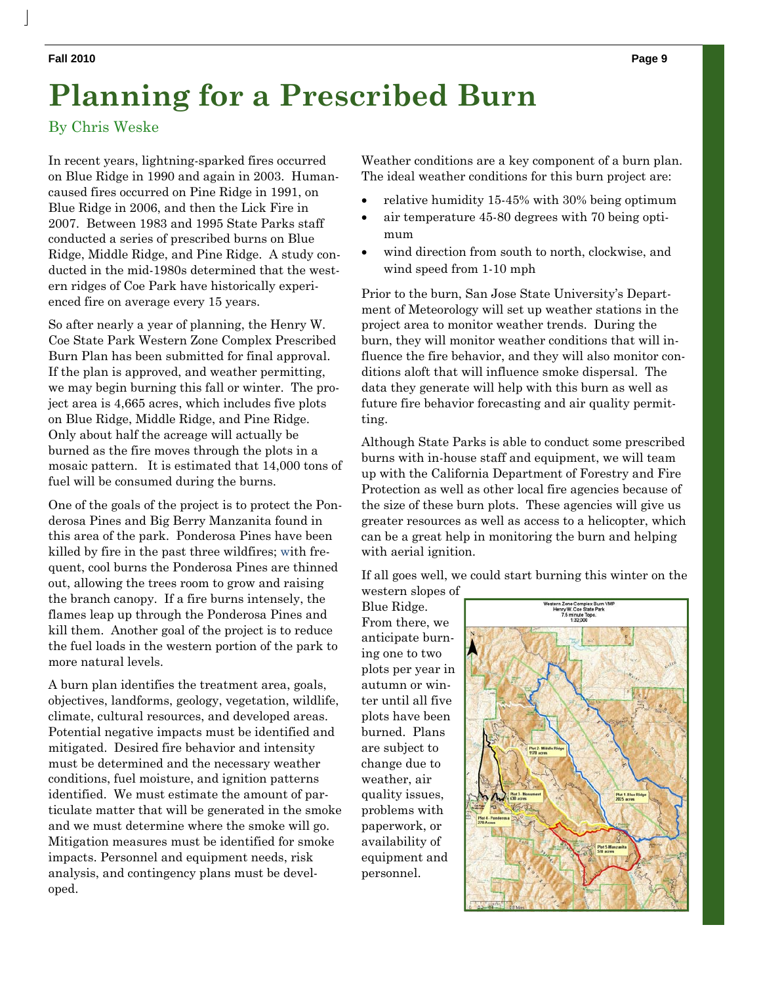# **Planning for a Prescribed Burn**

By Chris Weske

In recent years, lightning-sparked fires occurred on Blue Ridge in 1990 and again in 2003. Humancaused fires occurred on Pine Ridge in 1991, on Blue Ridge in 2006, and then the Lick Fire in 2007. Between 1983 and 1995 State Parks staff conducted a series of prescribed burns on Blue Ridge, Middle Ridge, and Pine Ridge. A study conducted in the mid-1980s determined that the western ridges of Coe Park have historically experienced fire on average every 15 years.

So after nearly a year of planning, the Henry W. Coe State Park Western Zone Complex Prescribed Burn Plan has been submitted for final approval. If the plan is approved, and weather permitting, we may begin burning this fall or winter. The project area is 4,665 acres, which includes five plots on Blue Ridge, Middle Ridge, and Pine Ridge. Only about half the acreage will actually be burned as the fire moves through the plots in a mosaic pattern. It is estimated that 14,000 tons of fuel will be consumed during the burns.

One of the goals of the project is to protect the Ponderosa Pines and Big Berry Manzanita found in this area of the park. Ponderosa Pines have been killed by fire in the past three wildfires; with frequent, cool burns the Ponderosa Pines are thinned out, allowing the trees room to grow and raising the branch canopy. If a fire burns intensely, the flames leap up through the Ponderosa Pines and kill them. Another goal of the project is to reduce the fuel loads in the western portion of the park to more natural levels.

A burn plan identifies the treatment area, goals, objectives, landforms, geology, vegetation, wildlife, climate, cultural resources, and developed areas. Potential negative impacts must be identified and mitigated. Desired fire behavior and intensity must be determined and the necessary weather conditions, fuel moisture, and ignition patterns identified. We must estimate the amount of particulate matter that will be generated in the smoke and we must determine where the smoke will go. Mitigation measures must be identified for smoke impacts. Personnel and equipment needs, risk analysis, and contingency plans must be developed.

Weather conditions are a key component of a burn plan. The ideal weather conditions for this burn project are:

- relative humidity 15-45% with 30% being optimum
- air temperature 45-80 degrees with 70 being optimum
- wind direction from south to north, clockwise, and wind speed from 1-10 mph

Prior to the burn, San Jose State University's Department of Meteorology will set up weather stations in the project area to monitor weather trends. During the burn, they will monitor weather conditions that will influence the fire behavior, and they will also monitor conditions aloft that will influence smoke dispersal. The data they generate will help with this burn as well as future fire behavior forecasting and air quality permitting.

Although State Parks is able to conduct some prescribed burns with in-house staff and equipment, we will team up with the California Department of Forestry and Fire Protection as well as other local fire agencies because of the size of these burn plots. These agencies will give us greater resources as well as access to a helicopter, which can be a great help in monitoring the burn and helping with aerial ignition.

If all goes well, we could start burning this winter on the western slopes of

Blue Ridge. From there, we anticipate burning one to two plots per year in autumn or winter until all five plots have been burned. Plans are subject to change due to weather, air quality issues, problems with paperwork, or availability of equipment and personnel.



 $\overline{\phantom{a}}$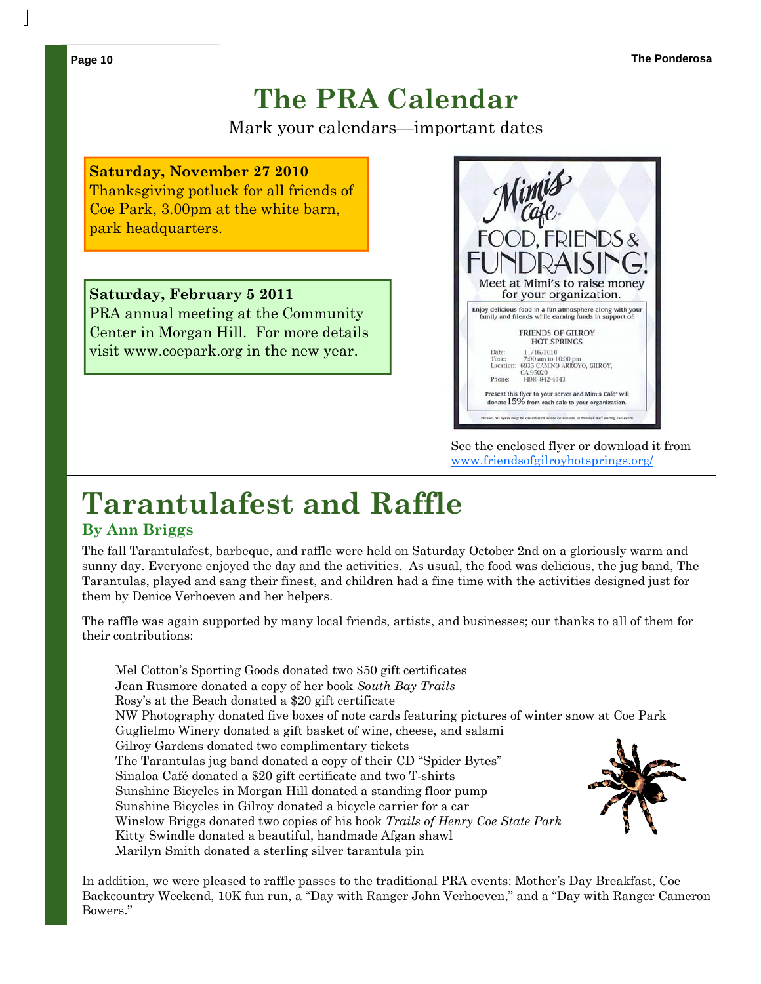# **The PRA Calendar**

Mark your calendars—important dates

### **Saturday, November 27 2010**

Thanksgiving potluck for all friends of Coe Park, 3.00pm at the white barn, park headquarters.

**Saturday, February 5 2011**  PRA annual meeting at the Community Center in Morgan Hill. For more details visit www.coepark.org in the new year.



See the enclosed flyer or download it from www.friendsofgilroyhotsprings.org/

# **Tarantulafest and Raffle**

#### **By Ann Briggs**

The fall Tarantulafest, barbeque, and raffle were held on Saturday October 2nd on a gloriously warm and sunny day. Everyone enjoyed the day and the activities. As usual, the food was delicious, the jug band, The Tarantulas, played and sang their finest, and children had a fine time with the activities designed just for them by Denice Verhoeven and her helpers.

The raffle was again supported by many local friends, artists, and businesses; our thanks to all of them for their contributions:

Mel Cotton's Sporting Goods donated two \$50 gift certificates Jean Rusmore donated a copy of her book *South Bay Trails* Rosy's at the Beach donated a \$20 gift certificate NW Photography donated five boxes of note cards featuring pictures of winter snow at Coe Park Guglielmo Winery donated a gift basket of wine, cheese, and salami Gilroy Gardens donated two complimentary tickets The Tarantulas jug band donated a copy of their CD "Spider Bytes" Sinaloa Café donated a \$20 gift certificate and two T-shirts Sunshine Bicycles in Morgan Hill donated a standing floor pump Sunshine Bicycles in Gilroy donated a bicycle carrier for a car Winslow Briggs donated two copies of his book *Trails of Henry Coe State Park* Kitty Swindle donated a beautiful, handmade Afgan shawl Marilyn Smith donated a sterling silver tarantula pin

In addition, we were pleased to raffle passes to the traditional PRA events: Mother's Day Breakfast, Coe Backcountry Weekend, 10K fun run, a "Day with Ranger John Verhoeven," and a "Day with Ranger Cameron Bowers."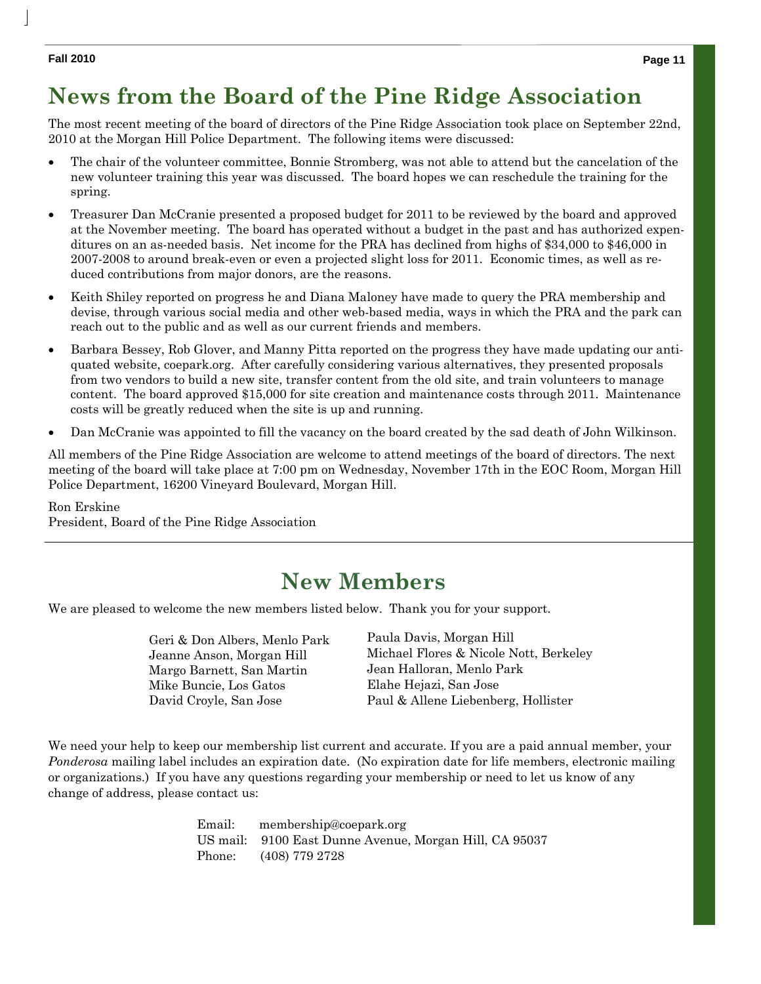#### **Fall 2010 Page 11**

 $\overline{\phantom{a}}$ 

# **News from the Board of the Pine Ridge Association**

The most recent meeting of the board of directors of the Pine Ridge Association took place on September 22nd, 2010 at the Morgan Hill Police Department. The following items were discussed:

- The chair of the volunteer committee, Bonnie Stromberg, was not able to attend but the cancelation of the new volunteer training this year was discussed. The board hopes we can reschedule the training for the spring.
- Treasurer Dan McCranie presented a proposed budget for 2011 to be reviewed by the board and approved at the November meeting. The board has operated without a budget in the past and has authorized expenditures on an as-needed basis. Net income for the PRA has declined from highs of \$34,000 to \$46,000 in 2007-2008 to around break-even or even a projected slight loss for 2011. Economic times, as well as reduced contributions from major donors, are the reasons.
- Keith Shiley reported on progress he and Diana Maloney have made to query the PRA membership and devise, through various social media and other web-based media, ways in which the PRA and the park can reach out to the public and as well as our current friends and members.
- Barbara Bessey, Rob Glover, and Manny Pitta reported on the progress they have made updating our antiquated website, coepark.org. After carefully considering various alternatives, they presented proposals from two vendors to build a new site, transfer content from the old site, and train volunteers to manage content. The board approved \$15,000 for site creation and maintenance costs through 2011. Maintenance costs will be greatly reduced when the site is up and running.
- Dan McCranie was appointed to fill the vacancy on the board created by the sad death of John Wilkinson.

All members of the Pine Ridge Association are welcome to attend meetings of the board of directors. The next meeting of the board will take place at 7:00 pm on Wednesday, November 17th in the EOC Room, Morgan Hill Police Department, 16200 Vineyard Boulevard, Morgan Hill.

#### Ron Erskine

President, Board of the Pine Ridge Association

## **New Members**

We are pleased to welcome the new members listed below. Thank you for your support.

| Geri & Don Albers, Menlo Park |
|-------------------------------|
| Jeanne Anson, Morgan Hill     |
| Margo Barnett, San Martin     |
| Mike Buncie, Los Gatos        |
| David Croyle, San Jose        |

Paula Davis, Morgan Hill Michael Flores & Nicole Nott, Berkeley Jean Halloran, Menlo Park Elahe Hejazi, San Jose Paul & Allene Liebenberg, Hollister

We need your help to keep our membership list current and accurate. If you are a paid annual member, your *Ponderosa* mailing label includes an expiration date. (No expiration date for life members, electronic mailing or organizations.) If you have any questions regarding your membership or need to let us know of any change of address, please contact us:

|  | Email: membership@coepark.org                          |
|--|--------------------------------------------------------|
|  | US mail: 9100 East Dunne Avenue, Morgan Hill, CA 95037 |
|  | Phone: (408) 779 2728                                  |